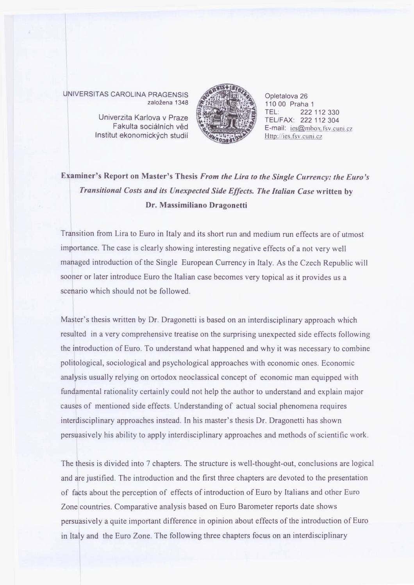UNIVERSITAS CAROLINA PRAGENSIS založena 1348

> Institut ekonomických studií Univerzita Karlova v Praze Fakulta sociálních věd



Opletalova 26 110 00 Praha 1<br>TEL: 222 222 112 330 TEL/FAX: 222 112 304 E-mail: ies@mbox.fsv.cuni.cz Http://ies. fsv.cuni.cz

## **Examiner's Report on Master's Thesis** *From the Lira to the Single Currency: the Euro's Transitional Costs and its Unexpected Side Effects. The Italian Case* **written by Dr. Massimiliano Dragonetti**

Transition from Lira to Euro in Italy and its short run and medium run effects are of utmost importance. The case is clearly showing interesting negative effects of a not very well managed introduction of the Single European Currency in Italy. As the Czech Republic will sooner or later introduce Euro the Italian case becomes very topical as it provides us a scenario which should not be followed.

Master's thesis written by Dr. Dragonetti is based on an interdisciplinary approach which resulted in a very comprehensive treatise on the surprising unexpected side effects following the introduction of Euro. To understand what happened and why it was necessary to combine politological, sociological and psychological approaches with economic ones. Economic analysis usually relying on ortodox neoclassical concept of economic man equipped with fundamental rationality certainly could not help the author to understand and explain major causes of mentioned side effects. Understanding of actual social phenomena requires interdisciplinary approaches instead. In his master's thesis Dr. Dragonetti has shown persuasively his ability to apply interdisciplinary approaches and methods of scientific work.

The thesis is divided into 7 chapters. The structure is well-thought-out, conclusions are logical and are justified. The introduction and the first three chapters are devoted to the presentation of facts about the perception of effects of introduction of Euro by Italians and other Euro Zone countries. Comparative analysis based on Euro Barometer reports date shows persuasively a quite important difference in opinion about effects of the introduction of Euro in Italy and the Euro Zone. The following three chapters focus on an interdisciplinary